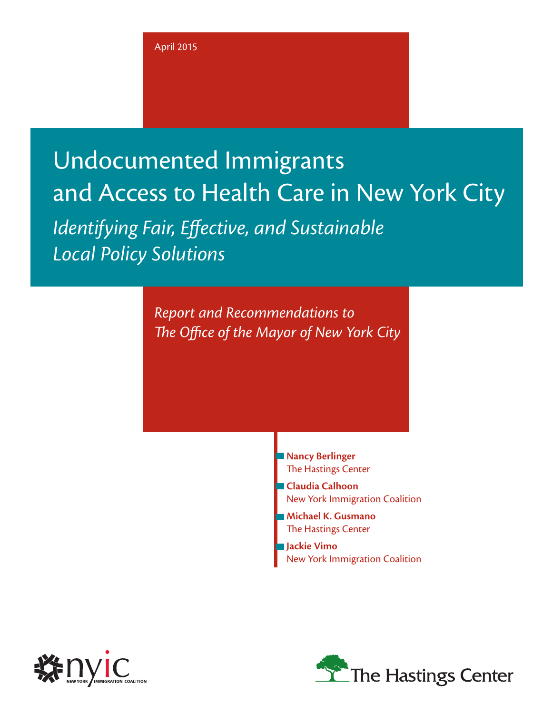# Undocumented Immigrants and Access to Health Care in New York City

*Identifying Fair, Effective, and Sustainable Local Policy Solutions*

> *Report and Recommendations to The Office of the Mayor of New York City*

> > **Nancy Berlinger** The Hastings Center

**Claudia Calhoon** New York Immigration Coalition

**Michael K. Gusmano** The Hastings Center

**Jackie Vimo**  New York Immigration Coalition



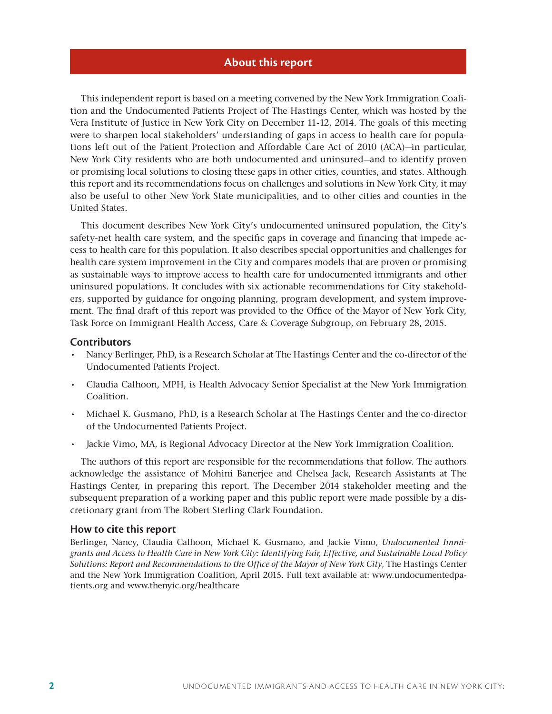#### **About this report**

This independent report is based on a meeting convened by the New York Immigration Coalition and the Undocumented Patients Project of The Hastings Center, which was hosted by the Vera Institute of Justice in New York City on December 11-12, 2014. The goals of this meeting were to sharpen local stakeholders' understanding of gaps in access to health care for populations left out of the Patient Protection and Affordable Care Act of 2010 (ACA)—in particular, New York City residents who are both undocumented and uninsured—and to identify proven or promising local solutions to closing these gaps in other cities, counties, and states. Although this report and its recommendations focus on challenges and solutions in New York City, it may also be useful to other New York State municipalities, and to other cities and counties in the United States.

This document describes New York City's undocumented uninsured population, the City's safety-net health care system, and the specific gaps in coverage and financing that impede access to health care for this population. It also describes special opportunities and challenges for health care system improvement in the City and compares models that are proven or promising as sustainable ways to improve access to health care for undocumented immigrants and other uninsured populations. It concludes with six actionable recommendations for City stakeholders, supported by guidance for ongoing planning, program development, and system improvement. The final draft of this report was provided to the Office of the Mayor of New York City, Task Force on Immigrant Health Access, Care & Coverage Subgroup, on February 28, 2015.

#### **Contributors**

- Nancy Berlinger, PhD, is a Research Scholar at The Hastings Center and the co-director of the Undocumented Patients Project.
- Claudia Calhoon, MPH, is Health Advocacy Senior Specialist at the New York Immigration Coalition.
- • Michael K. Gusmano, PhD, is a Research Scholar at The Hastings Center and the co-director of the Undocumented Patients Project.
- • Jackie Vimo, MA, is Regional Advocacy Director at the New York Immigration Coalition.

The authors of this report are responsible for the recommendations that follow. The authors acknowledge the assistance of Mohini Banerjee and Chelsea Jack, Research Assistants at The Hastings Center, in preparing this report. The December 2014 stakeholder meeting and the subsequent preparation of a working paper and this public report were made possible by a discretionary grant from The Robert Sterling Clark Foundation.

#### **How to cite this report**

Berlinger, Nancy, Claudia Calhoon, Michael K. Gusmano, and Jackie Vimo, *Undocumented Immigrants and Access to Health Care in New York City: Identifying Fair, Effective, and Sustainable Local Policy Solutions: Report and Recommendations to the Office of the Mayor of New York City*, The Hastings Center and the New York Immigration Coalition, April 2015. Full text available at: www.undocumentedpatients.org and www.thenyic.org/healthcare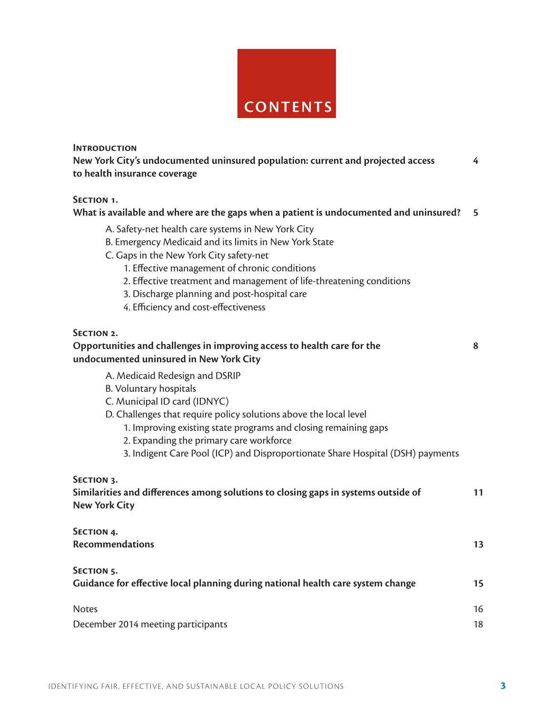

**INTRODUCTION** 

**New York City's undocumented uninsured population: current and projected access 4 to health insurance coverage** 

**Section 1.**

**What is available and where are the gaps when a patient is undocumented and uninsured? 5**

- A. Safety-net health care systems in New York City
- B. Emergency Medicaid and its limits in New York State
- C. Gaps in the New York City safety-net
	- 1. Effective management of chronic conditions
	- 2. Effective treatment and management of life-threatening conditions
	- 3. Discharge planning and post-hospital care
	- 4. Efficiency and cost-effectiveness

#### **Section 2.**

## **Opportunities and challenges in improving access to health care for the 8 undocumented uninsured in New York City**

- A. Medicaid Redesign and DSRIP
- B. Voluntary hospitals
- C. Municipal ID card (IDNYC)
- D. Challenges that require policy solutions above the local level
	- 1. Improving existing state programs and closing remaining gaps
	- 2. Expanding the primary care workforce
	- 3. Indigent Care Pool (ICP) and Disproportionate Share Hospital (DSH) payments

#### **Section 3.**

| Similarities and differences among solutions to closing gaps in systems outside of<br>New York City<br>SECTION 4. |  |                        |     |
|-------------------------------------------------------------------------------------------------------------------|--|------------------------|-----|
|                                                                                                                   |  | <b>Recommendations</b> | 13. |

#### **Section 5.**

| Guidance for effective local planning during national health care system change | 15 |
|---------------------------------------------------------------------------------|----|
| <b>Notes</b>                                                                    | 16 |
| December 2014 meeting participants                                              | 18 |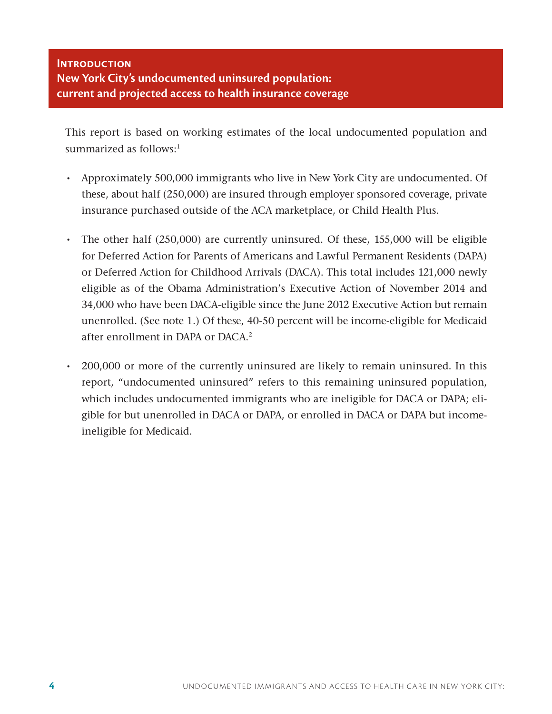# **Introduction New York City's undocumented uninsured population: current and projected access to health insurance coverage**

This report is based on working estimates of the local undocumented population and summarized as follows:<sup>1</sup>

- Approximately 500,000 immigrants who live in New York City are undocumented. Of these, about half (250,000) are insured through employer sponsored coverage, private insurance purchased outside of the ACA marketplace, or Child Health Plus.
- The other half (250,000) are currently uninsured. Of these, 155,000 will be eligible for Deferred Action for Parents of Americans and Lawful Permanent Residents (DAPA) or Deferred Action for Childhood Arrivals (DACA). This total includes 121,000 newly eligible as of the Obama Administration's Executive Action of November 2014 and 34,000 who have been DACA-eligible since the June 2012 Executive Action but remain unenrolled. (See note 1.) Of these, 40-50 percent will be income-eligible for Medicaid after enrollment in DAPA or DACA.<sup>2</sup>
- 200,000 or more of the currently uninsured are likely to remain uninsured. In this report, "undocumented uninsured" refers to this remaining uninsured population, which includes undocumented immigrants who are ineligible for DACA or DAPA; eligible for but unenrolled in DACA or DAPA, or enrolled in DACA or DAPA but incomeineligible for Medicaid.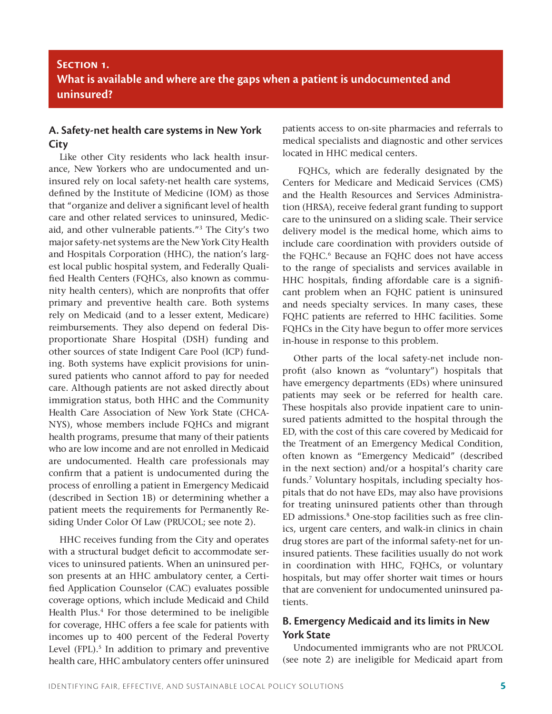# **Section 1. What is available and where are the gaps when a patient is undocumented and uninsured?**

# **A. Safety-net health care systems in New York City**

Like other City residents who lack health insurance, New Yorkers who are undocumented and uninsured rely on local safety-net health care systems, defined by the Institute of Medicine (IOM) as those that "organize and deliver a significant level of health care and other related services to uninsured, Medicaid, and other vulnerable patients."3 The City's two major safety-net systems are the New York City Health and Hospitals Corporation (HHC), the nation's largest local public hospital system, and Federally Qualified Health Centers (FQHCs, also known as community health centers), which are nonprofits that offer primary and preventive health care. Both systems rely on Medicaid (and to a lesser extent, Medicare) reimbursements. They also depend on federal Disproportionate Share Hospital (DSH) funding and other sources of state Indigent Care Pool (ICP) funding. Both systems have explicit provisions for uninsured patients who cannot afford to pay for needed care. Although patients are not asked directly about immigration status, both HHC and the Community Health Care Association of New York State (CHCA-NYS), whose members include FQHCs and migrant health programs, presume that many of their patients who are low income and are not enrolled in Medicaid are undocumented. Health care professionals may confirm that a patient is undocumented during the process of enrolling a patient in Emergency Medicaid (described in Section 1B) or determining whether a patient meets the requirements for Permanently Residing Under Color Of Law (PRUCOL; see note 2).

HHC receives funding from the City and operates with a structural budget deficit to accommodate services to uninsured patients. When an uninsured person presents at an HHC ambulatory center, a Certified Application Counselor (CAC) evaluates possible coverage options, which include Medicaid and Child Health Plus.<sup>4</sup> For those determined to be ineligible for coverage, HHC offers a fee scale for patients with incomes up to 400 percent of the Federal Poverty Level (FPL).<sup>5</sup> In addition to primary and preventive health care, HHC ambulatory centers offer uninsured

patients access to on-site pharmacies and referrals to medical specialists and diagnostic and other services located in HHC medical centers.

 FQHCs, which are federally designated by the Centers for Medicare and Medicaid Services (CMS) and the Health Resources and Services Administration (HRSA), receive federal grant funding to support care to the uninsured on a sliding scale. Their service delivery model is the medical home, which aims to include care coordination with providers outside of the FQHC.<sup>6</sup> Because an FQHC does not have access to the range of specialists and services available in HHC hospitals, finding affordable care is a significant problem when an FQHC patient is uninsured and needs specialty services. In many cases, these FQHC patients are referred to HHC facilities. Some FQHCs in the City have begun to offer more services in-house in response to this problem.

Other parts of the local safety-net include nonprofit (also known as "voluntary") hospitals that have emergency departments (EDs) where uninsured patients may seek or be referred for health care. These hospitals also provide inpatient care to uninsured patients admitted to the hospital through the ED, with the cost of this care covered by Medicaid for the Treatment of an Emergency Medical Condition, often known as "Emergency Medicaid" (described in the next section) and/or a hospital's charity care funds.7 Voluntary hospitals, including specialty hospitals that do not have EDs, may also have provisions for treating uninsured patients other than through ED admissions.8 One-stop facilities such as free clinics, urgent care centers, and walk-in clinics in chain drug stores are part of the informal safety-net for uninsured patients. These facilities usually do not work in coordination with HHC, FQHCs, or voluntary hospitals, but may offer shorter wait times or hours that are convenient for undocumented uninsured patients.

# **B. Emergency Medicaid and its limits in New York State**

Undocumented immigrants who are not PRUCOL (see note 2) are ineligible for Medicaid apart from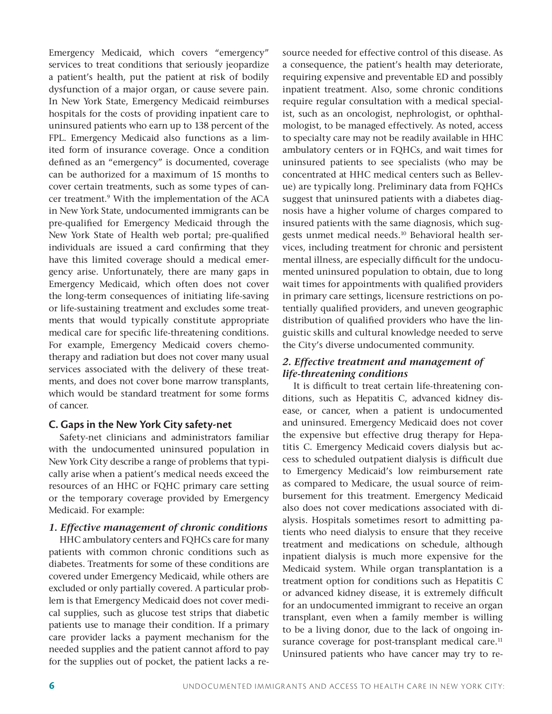Emergency Medicaid, which covers "emergency" services to treat conditions that seriously jeopardize a patient's health, put the patient at risk of bodily dysfunction of a major organ, or cause severe pain. In New York State, Emergency Medicaid reimburses hospitals for the costs of providing inpatient care to uninsured patients who earn up to 138 percent of the FPL. Emergency Medicaid also functions as a limited form of insurance coverage. Once a condition defined as an "emergency" is documented, coverage can be authorized for a maximum of 15 months to cover certain treatments, such as some types of cancer treatment.<sup>9</sup> With the implementation of the ACA in New York State, undocumented immigrants can be pre-qualified for Emergency Medicaid through the New York State of Health web portal; pre-qualified individuals are issued a card confirming that they have this limited coverage should a medical emergency arise. Unfortunately, there are many gaps in Emergency Medicaid, which often does not cover the long-term consequences of initiating life-saving or life-sustaining treatment and excludes some treatments that would typically constitute appropriate medical care for specific life-threatening conditions. For example, Emergency Medicaid covers chemotherapy and radiation but does not cover many usual services associated with the delivery of these treatments, and does not cover bone marrow transplants, which would be standard treatment for some forms of cancer.

### **C. Gaps in the New York City safety-net**

Safety-net clinicians and administrators familiar with the undocumented uninsured population in New York City describe a range of problems that typically arise when a patient's medical needs exceed the resources of an HHC or FQHC primary care setting or the temporary coverage provided by Emergency Medicaid. For example:

# *1. Effective management of chronic conditions*

HHC ambulatory centers and FQHCs care for many patients with common chronic conditions such as diabetes. Treatments for some of these conditions are covered under Emergency Medicaid, while others are excluded or only partially covered. A particular problem is that Emergency Medicaid does not cover medical supplies, such as glucose test strips that diabetic patients use to manage their condition. If a primary care provider lacks a payment mechanism for the needed supplies and the patient cannot afford to pay for the supplies out of pocket, the patient lacks a resource needed for effective control of this disease. As a consequence, the patient's health may deteriorate, requiring expensive and preventable ED and possibly inpatient treatment. Also, some chronic conditions require regular consultation with a medical specialist, such as an oncologist, nephrologist, or ophthalmologist, to be managed effectively. As noted, access to specialty care may not be readily available in HHC ambulatory centers or in FQHCs, and wait times for uninsured patients to see specialists (who may be concentrated at HHC medical centers such as Bellevue) are typically long. Preliminary data from FQHCs suggest that uninsured patients with a diabetes diagnosis have a higher volume of charges compared to insured patients with the same diagnosis, which suggests unmet medical needs.10 Behavioral health services, including treatment for chronic and persistent mental illness, are especially difficult for the undocumented uninsured population to obtain, due to long wait times for appointments with qualified providers in primary care settings, licensure restrictions on potentially qualified providers, and uneven geographic distribution of qualified providers who have the linguistic skills and cultural knowledge needed to serve the City's diverse undocumented community.

## *2. Effective treatment and management of life-threatening conditions*

It is difficult to treat certain life-threatening conditions, such as Hepatitis C, advanced kidney disease, or cancer, when a patient is undocumented and uninsured. Emergency Medicaid does not cover the expensive but effective drug therapy for Hepatitis C. Emergency Medicaid covers dialysis but access to scheduled outpatient dialysis is difficult due to Emergency Medicaid's low reimbursement rate as compared to Medicare, the usual source of reimbursement for this treatment. Emergency Medicaid also does not cover medications associated with dialysis. Hospitals sometimes resort to admitting patients who need dialysis to ensure that they receive treatment and medications on schedule, although inpatient dialysis is much more expensive for the Medicaid system. While organ transplantation is a treatment option for conditions such as Hepatitis C or advanced kidney disease, it is extremely difficult for an undocumented immigrant to receive an organ transplant, even when a family member is willing to be a living donor, due to the lack of ongoing insurance coverage for post-transplant medical care.<sup>11</sup> Uninsured patients who have cancer may try to re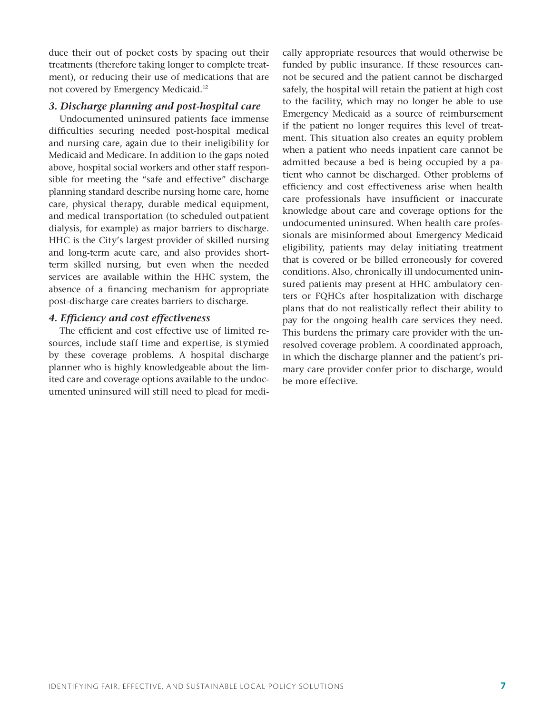duce their out of pocket costs by spacing out their treatments (therefore taking longer to complete treatment), or reducing their use of medications that are not covered by Emergency Medicaid.12

### *3. Discharge planning and post-hospital care*

Undocumented uninsured patients face immense difficulties securing needed post-hospital medical and nursing care, again due to their ineligibility for Medicaid and Medicare. In addition to the gaps noted above, hospital social workers and other staff responsible for meeting the "safe and effective" discharge planning standard describe nursing home care, home care, physical therapy, durable medical equipment, and medical transportation (to scheduled outpatient dialysis, for example) as major barriers to discharge. HHC is the City's largest provider of skilled nursing and long-term acute care, and also provides shortterm skilled nursing, but even when the needed services are available within the HHC system, the absence of a financing mechanism for appropriate post-discharge care creates barriers to discharge.

#### *4. Efficiency and cost effectiveness*

The efficient and cost effective use of limited resources, include staff time and expertise, is stymied by these coverage problems. A hospital discharge planner who is highly knowledgeable about the limited care and coverage options available to the undocumented uninsured will still need to plead for medically appropriate resources that would otherwise be funded by public insurance. If these resources cannot be secured and the patient cannot be discharged safely, the hospital will retain the patient at high cost to the facility, which may no longer be able to use Emergency Medicaid as a source of reimbursement if the patient no longer requires this level of treatment. This situation also creates an equity problem when a patient who needs inpatient care cannot be admitted because a bed is being occupied by a patient who cannot be discharged. Other problems of efficiency and cost effectiveness arise when health care professionals have insufficient or inaccurate knowledge about care and coverage options for the undocumented uninsured. When health care professionals are misinformed about Emergency Medicaid eligibility, patients may delay initiating treatment that is covered or be billed erroneously for covered conditions. Also, chronically ill undocumented uninsured patients may present at HHC ambulatory centers or FQHCs after hospitalization with discharge plans that do not realistically reflect their ability to pay for the ongoing health care services they need. This burdens the primary care provider with the unresolved coverage problem. A coordinated approach, in which the discharge planner and the patient's primary care provider confer prior to discharge, would be more effective.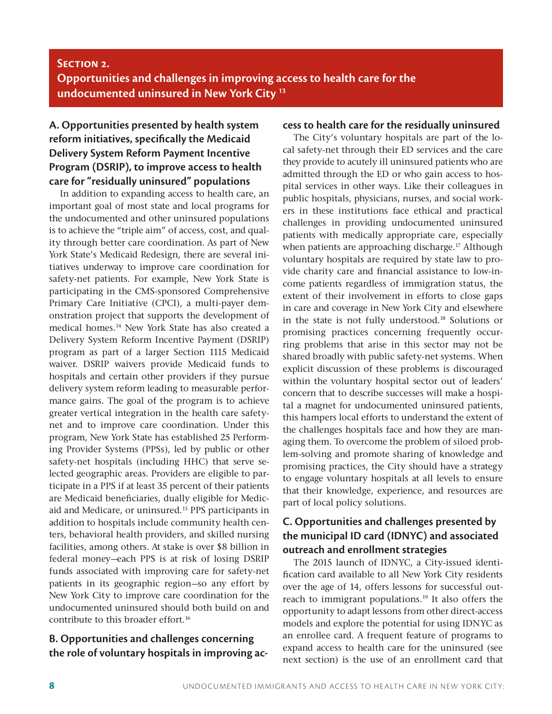# **Section 2. Opportunities and challenges in improving access to health care for the undocumented uninsured in New York City 13**

# **A. Opportunities presented by health system reform initiatives, specifically the Medicaid Delivery System Reform Payment Incentive Program (DSRIP), to improve access to health care for "residually uninsured" populations**

In addition to expanding access to health care, an important goal of most state and local programs for the undocumented and other uninsured populations is to achieve the "triple aim" of access, cost, and quality through better care coordination. As part of New York State's Medicaid Redesign, there are several initiatives underway to improve care coordination for safety-net patients. For example, New York State is participating in the CMS-sponsored Comprehensive Primary Care Initiative (CPCI), a multi-payer demonstration project that supports the development of medical homes.14 New York State has also created a Delivery System Reform Incentive Payment (DSRIP) program as part of a larger Section 1115 Medicaid waiver. DSRIP waivers provide Medicaid funds to hospitals and certain other providers if they pursue delivery system reform leading to measurable performance gains. The goal of the program is to achieve greater vertical integration in the health care safetynet and to improve care coordination. Under this program, New York State has established 25 Performing Provider Systems (PPSs), led by public or other safety-net hospitals (including HHC) that serve selected geographic areas. Providers are eligible to participate in a PPS if at least 35 percent of their patients are Medicaid beneficiaries, dually eligible for Medicaid and Medicare, or uninsured.15 PPS participants in addition to hospitals include community health centers, behavioral health providers, and skilled nursing facilities, among others. At stake is over \$8 billion in federal money—each PPS is at risk of losing DSRIP funds associated with improving care for safety-net patients in its geographic region—so any effort by New York City to improve care coordination for the undocumented uninsured should both build on and contribute to this broader effort.<sup>16</sup>

# **B. Opportunities and challenges concerning the role of voluntary hospitals in improving ac-**

## **cess to health care for the residually uninsured**

The City's voluntary hospitals are part of the local safety-net through their ED services and the care they provide to acutely ill uninsured patients who are admitted through the ED or who gain access to hospital services in other ways. Like their colleagues in public hospitals, physicians, nurses, and social workers in these institutions face ethical and practical challenges in providing undocumented uninsured patients with medically appropriate care, especially when patients are approaching discharge.<sup>17</sup> Although voluntary hospitals are required by state law to provide charity care and financial assistance to low-income patients regardless of immigration status, the extent of their involvement in efforts to close gaps in care and coverage in New York City and elsewhere in the state is not fully understood.18 Solutions or promising practices concerning frequently occurring problems that arise in this sector may not be shared broadly with public safety-net systems. When explicit discussion of these problems is discouraged within the voluntary hospital sector out of leaders' concern that to describe successes will make a hospital a magnet for undocumented uninsured patients, this hampers local efforts to understand the extent of the challenges hospitals face and how they are managing them. To overcome the problem of siloed problem-solving and promote sharing of knowledge and promising practices, the City should have a strategy to engage voluntary hospitals at all levels to ensure that their knowledge, experience, and resources are part of local policy solutions.

# **C. Opportunities and challenges presented by the municipal ID card (IDNYC) and associated outreach and enrollment strategies**

The 2015 launch of IDNYC, a City-issued identification card available to all New York City residents over the age of 14, offers lessons for successful outreach to immigrant populations.<sup>19</sup> It also offers the opportunity to adapt lessons from other direct-access models and explore the potential for using IDNYC as an enrollee card. A frequent feature of programs to expand access to health care for the uninsured (see next section) is the use of an enrollment card that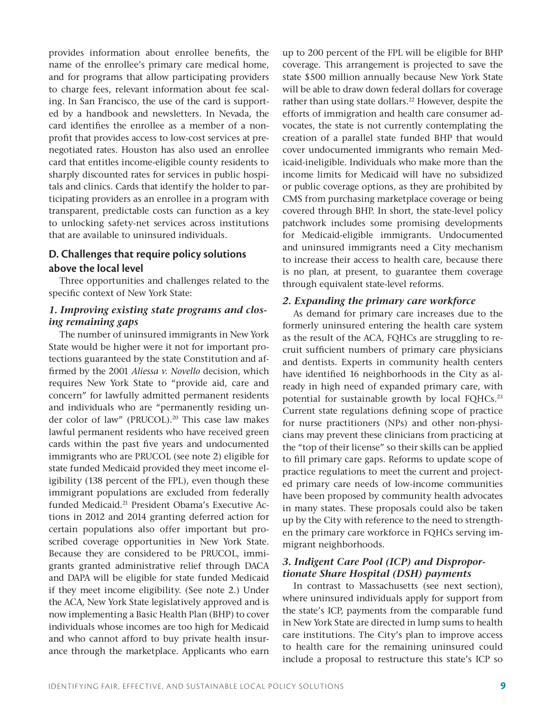provides information about enrollee benefits, the name of the enrollee's primary care medical home, and for programs that allow participating providers to charge fees, relevant information about fee scaling. In San Francisco, the use of the card is supported by a handbook and newsletters. In Nevada, the card identifies the enrollee as a member of a nonprofit that provides access to low-cost services at prenegotiated rates. Houston has also used an enrollee card that entitles income-eligible county residents to sharply discounted rates for services in public hospitals and clinics. Cards that identify the holder to participating providers as an enrollee in a program with transparent, predictable costs can function as a key to unlocking safety-net services across institutions that are available to uninsured individuals.

## **D. Challenges that require policy solutions above the local level**

Three opportunities and challenges related to the specific context of New York State:

#### *1. Improving existing state programs and closing remaining gaps*

The number of uninsured immigrants in New York State would be higher were it not for important protections guaranteed by the state Constitution and affirmed by the 2001 *Aliessa v. Novello* decision, which requires New York State to "provide aid, care and concern" for lawfully admitted permanent residents and individuals who are "permanently residing under color of law" (PRUCOL).<sup>20</sup> This case law makes lawful permanent residents who have received green cards within the past five years and undocumented immigrants who are PRUCOL (see note 2) eligible for state funded Medicaid provided they meet income eligibility (138 percent of the FPL), even though these immigrant populations are excluded from federally funded Medicaid.21 President Obama's Executive Actions in 2012 and 2014 granting deferred action for certain populations also offer important but proscribed coverage opportunities in New York State. Because they are considered to be PRUCOL, immigrants granted administrative relief through DACA and DAPA will be eligible for state funded Medicaid if they meet income eligibility. (See note 2.) Under the ACA, New York State legislatively approved and is now implementing a Basic Health Plan (BHP) to cover individuals whose incomes are too high for Medicaid and who cannot afford to buy private health insurance through the marketplace. Applicants who earn up to 200 percent of the FPL will be eligible for BHP coverage. This arrangement is projected to save the state \$500 million annually because New York State will be able to draw down federal dollars for coverage rather than using state dollars.<sup>22</sup> However, despite the efforts of immigration and health care consumer advocates, the state is not currently contemplating the creation of a parallel state funded BHP that would cover undocumented immigrants who remain Medicaid-ineligible. Individuals who make more than the income limits for Medicaid will have no subsidized or public coverage options, as they are prohibited by CMS from purchasing marketplace coverage or being covered through BHP. In short, the state-level policy patchwork includes some promising developments for Medicaid-eligible immigrants. Undocumented and uninsured immigrants need a City mechanism to increase their access to health care, because there is no plan, at present, to guarantee them coverage through equivalent state-level reforms.

#### *2. Expanding the primary care workforce*

As demand for primary care increases due to the formerly uninsured entering the health care system as the result of the ACA, FQHCs are struggling to recruit sufficient numbers of primary care physicians and dentists. Experts in community health centers have identified 16 neighborhoods in the City as already in high need of expanded primary care, with potential for sustainable growth by local FQHCs.<sup>23</sup> Current state regulations defining scope of practice for nurse practitioners (NPs) and other non-physicians may prevent these clinicians from practicing at the "top of their license" so their skills can be applied to fill primary care gaps. Reforms to update scope of practice regulations to meet the current and projected primary care needs of low-income communities have been proposed by community health advocates in many states. These proposals could also be taken up by the City with reference to the need to strengthen the primary care workforce in FQHCs serving immigrant neighborhoods.

#### *3. Indigent Care Pool (ICP) and Disproportionate Share Hospital (DSH) payments*

In contrast to Massachusetts (see next section), where uninsured individuals apply for support from the state's ICP, payments from the comparable fund in New York State are directed in lump sums to health care institutions. The City's plan to improve access to health care for the remaining uninsured could include a proposal to restructure this state's ICP so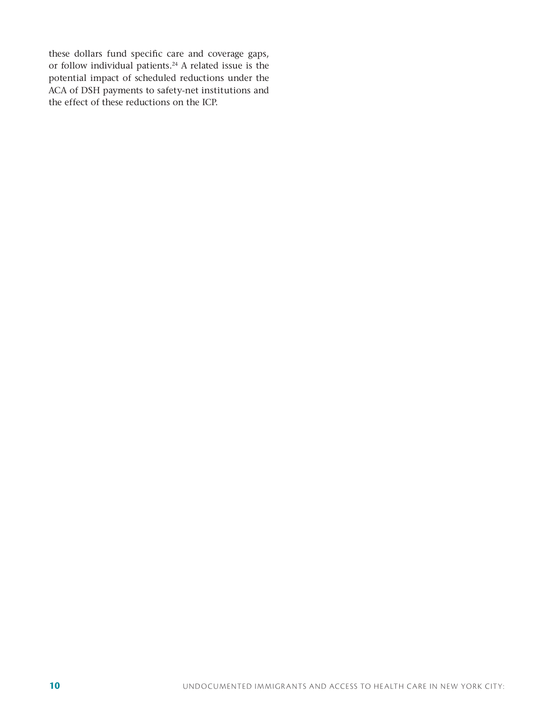these dollars fund specific care and coverage gaps, or follow individual patients.<sup>24</sup> A related issue is the potential impact of scheduled reductions under the ACA of DSH payments to safety-net institutions and the effect of these reductions on the ICP.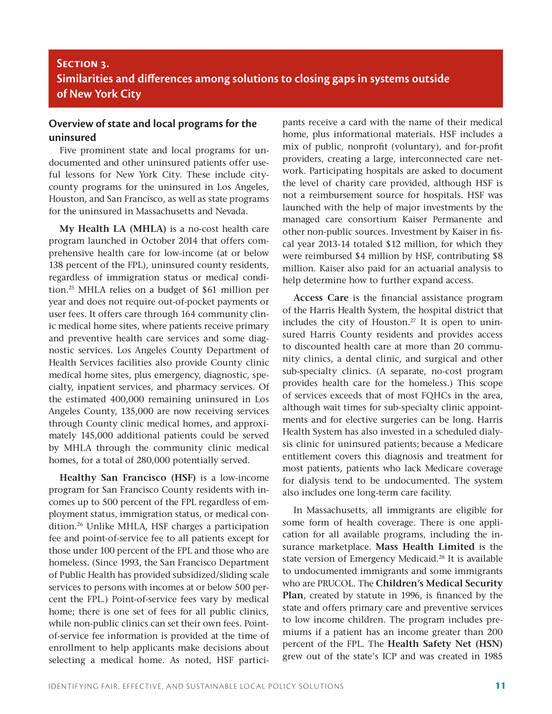# **Section 3. Similarities and differences among solutions to closing gaps in systems outside of New York City**

# **Overview of state and local programs for the uninsured**

Five prominent state and local programs for undocumented and other uninsured patients offer useful lessons for New York City. These include citycounty programs for the uninsured in Los Angeles, Houston, and San Francisco, as well as state programs for the uninsured in Massachusetts and Nevada.

**My Health LA (MHLA)** is a no-cost health care program launched in October 2014 that offers comprehensive health care for low-income (at or below 138 percent of the FPL), uninsured county residents, regardless of immigration status or medical condition.25 MHLA relies on a budget of \$61 million per year and does not require out-of-pocket payments or user fees. It offers care through 164 community clinic medical home sites, where patients receive primary and preventive health care services and some diagnostic services. Los Angeles County Department of Health Services facilities also provide County clinic medical home sites, plus emergency, diagnostic, specialty, inpatient services, and pharmacy services. Of the estimated 400,000 remaining uninsured in Los Angeles County, 135,000 are now receiving services through County clinic medical homes, and approximately 145,000 additional patients could be served by MHLA through the community clinic medical homes, for a total of 280,000 potentially served.

**Healthy San Francisco (HSF)** is a low-income program for San Francisco County residents with incomes up to 500 percent of the FPL regardless of employment status, immigration status, or medical condition.26 Unlike MHLA, HSF charges a participation fee and point-of-service fee to all patients except for those under 100 percent of the FPL and those who are homeless. (Since 1993, the San Francisco Department of Public Health has provided subsidized/sliding scale services to persons with incomes at or below 500 percent the FPL.) Point-of-service fees vary by medical home; there is one set of fees for all public clinics, while non-public clinics can set their own fees. Pointof-service fee information is provided at the time of enrollment to help applicants make decisions about selecting a medical home. As noted, HSF participants receive a card with the name of their medical home, plus informational materials. HSF includes a mix of public, nonprofit (voluntary), and for-profit providers, creating a large, interconnected care network. Participating hospitals are asked to document the level of charity care provided, although HSF is not a reimbursement source for hospitals. HSF was launched with the help of major investments by the managed care consortium Kaiser Permanente and other non-public sources. Investment by Kaiser in fiscal year 2013-14 totaled \$12 million, for which they were reimbursed \$4 million by HSF, contributing \$8 million. Kaiser also paid for an actuarial analysis to help determine how to further expand access.

**Access Care** is the financial assistance program of the Harris Health System, the hospital district that includes the city of Houston. $27$  It is open to uninsured Harris County residents and provides access to discounted health care at more than 20 community clinics, a dental clinic, and surgical and other sub-specialty clinics. (A separate, no-cost program provides health care for the homeless.) This scope of services exceeds that of most FQHCs in the area, although wait times for sub-specialty clinic appointments and for elective surgeries can be long. Harris Health System has also invested in a scheduled dialysis clinic for uninsured patients; because a Medicare entitlement covers this diagnosis and treatment for most patients, patients who lack Medicare coverage for dialysis tend to be undocumented. The system also includes one long-term care facility.

In Massachusetts, all immigrants are eligible for some form of health coverage. There is one application for all available programs, including the insurance marketplace. **Mass Health Limited** is the state version of Emergency Medicaid.<sup>28</sup> It is available to undocumented immigrants and some immigrants who are PRUCOL. The **Children's Medical Security Plan**, created by statute in 1996, is financed by the state and offers primary care and preventive services to low income children. The program includes premiums if a patient has an income greater than 200 percent of the FPL. The **Health Safety Net (HSN)**  grew out of the state's ICP and was created in 1985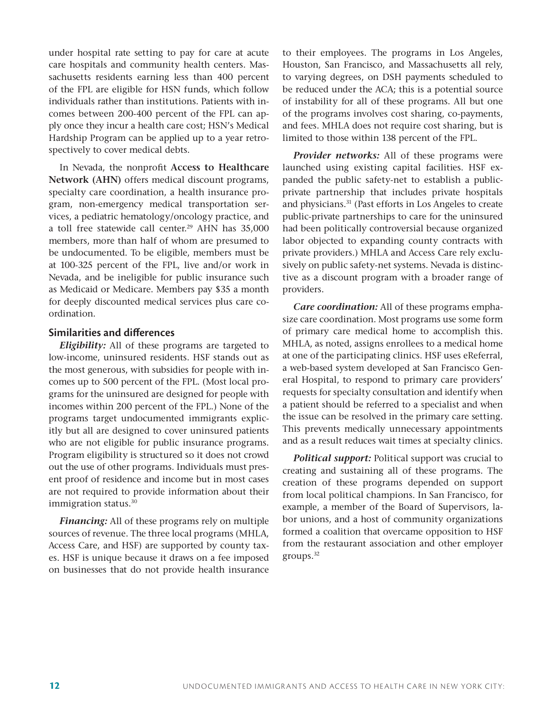under hospital rate setting to pay for care at acute care hospitals and community health centers. Massachusetts residents earning less than 400 percent of the FPL are eligible for HSN funds, which follow individuals rather than institutions. Patients with incomes between 200-400 percent of the FPL can apply once they incur a health care cost; HSN's Medical Hardship Program can be applied up to a year retrospectively to cover medical debts.

In Nevada, the nonprofit **Access to Healthcare Network (AHN)** offers medical discount programs, specialty care coordination, a health insurance program, non-emergency medical transportation services, a pediatric hematology/oncology practice, and a toll free statewide call center.<sup>29</sup> AHN has 35,000 members, more than half of whom are presumed to be undocumented. To be eligible, members must be at 100-325 percent of the FPL, live and/or work in Nevada, and be ineligible for public insurance such as Medicaid or Medicare. Members pay \$35 a month for deeply discounted medical services plus care coordination.

#### **Similarities and differences**

*Eligibility:* All of these programs are targeted to low-income, uninsured residents. HSF stands out as the most generous, with subsidies for people with incomes up to 500 percent of the FPL. (Most local programs for the uninsured are designed for people with incomes within 200 percent of the FPL.) None of the programs target undocumented immigrants explicitly but all are designed to cover uninsured patients who are not eligible for public insurance programs. Program eligibility is structured so it does not crowd out the use of other programs. Individuals must present proof of residence and income but in most cases are not required to provide information about their immigration status.30

*Financing:* All of these programs rely on multiple sources of revenue. The three local programs (MHLA, Access Care, and HSF) are supported by county taxes. HSF is unique because it draws on a fee imposed on businesses that do not provide health insurance to their employees. The programs in Los Angeles, Houston, San Francisco, and Massachusetts all rely, to varying degrees, on DSH payments scheduled to be reduced under the ACA; this is a potential source of instability for all of these programs. All but one of the programs involves cost sharing, co-payments, and fees. MHLA does not require cost sharing, but is limited to those within 138 percent of the FPL.

*Provider networks:* All of these programs were launched using existing capital facilities. HSF expanded the public safety-net to establish a publicprivate partnership that includes private hospitals and physicians.31 (Past efforts in Los Angeles to create public-private partnerships to care for the uninsured had been politically controversial because organized labor objected to expanding county contracts with private providers.) MHLA and Access Care rely exclusively on public safety-net systems. Nevada is distinctive as a discount program with a broader range of providers.

*Care coordination:* All of these programs emphasize care coordination. Most programs use some form of primary care medical home to accomplish this. MHLA, as noted, assigns enrollees to a medical home at one of the participating clinics. HSF uses eReferral, a web-based system developed at San Francisco General Hospital, to respond to primary care providers' requests for specialty consultation and identify when a patient should be referred to a specialist and when the issue can be resolved in the primary care setting. This prevents medically unnecessary appointments and as a result reduces wait times at specialty clinics.

*Political support:* Political support was crucial to creating and sustaining all of these programs. The creation of these programs depended on support from local political champions. In San Francisco, for example, a member of the Board of Supervisors, labor unions, and a host of community organizations formed a coalition that overcame opposition to HSF from the restaurant association and other employer groups.32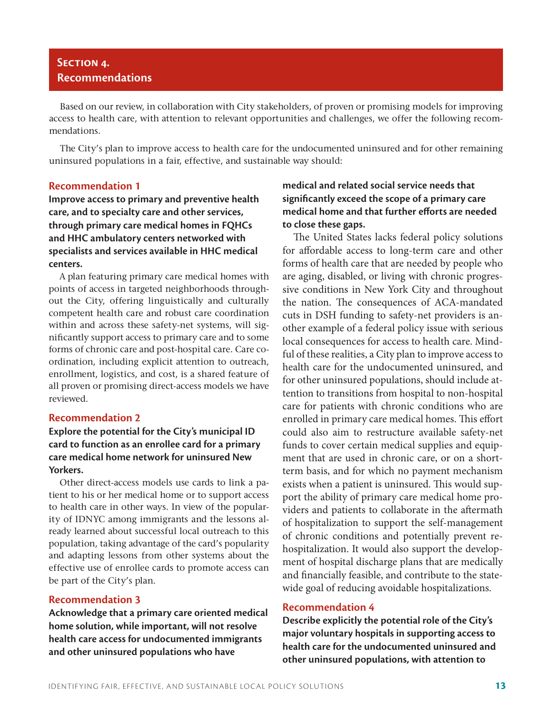# **Section 4. Recommendations**

Based on our review, in collaboration with City stakeholders, of proven or promising models for improving access to health care, with attention to relevant opportunities and challenges, we offer the following recommendations.

The City's plan to improve access to health care for the undocumented uninsured and for other remaining uninsured populations in a fair, effective, and sustainable way should:

### **Recommendation 1**

**Improve access to primary and preventive health care, and to specialty care and other services, through primary care medical homes in FQHCs and HHC ambulatory centers networked with specialists and services available in HHC medical centers.** 

A plan featuring primary care medical homes with points of access in targeted neighborhoods throughout the City, offering linguistically and culturally competent health care and robust care coordination within and across these safety-net systems, will significantly support access to primary care and to some forms of chronic care and post-hospital care. Care coordination, including explicit attention to outreach, enrollment, logistics, and cost, is a shared feature of all proven or promising direct-access models we have reviewed.

#### **Recommendation 2**

## **Explore the potential for the City's municipal ID card to function as an enrollee card for a primary care medical home network for uninsured New Yorkers.**

Other direct-access models use cards to link a patient to his or her medical home or to support access to health care in other ways. In view of the popularity of IDNYC among immigrants and the lessons already learned about successful local outreach to this population, taking advantage of the card's popularity and adapting lessons from other systems about the effective use of enrollee cards to promote access can be part of the City's plan.

#### **Recommendation 3**

**Acknowledge that a primary care oriented medical home solution, while important, will not resolve health care access for undocumented immigrants and other uninsured populations who have** 

# **medical and related social service needs that significantly exceed the scope of a primary care medical home and that further efforts are needed to close these gaps.**

The United States lacks federal policy solutions for affordable access to long-term care and other forms of health care that are needed by people who are aging, disabled, or living with chronic progressive conditions in New York City and throughout the nation. The consequences of ACA-mandated cuts in DSH funding to safety-net providers is another example of a federal policy issue with serious local consequences for access to health care. Mindful of these realities, a City plan to improve access to health care for the undocumented uninsured, and for other uninsured populations, should include attention to transitions from hospital to non-hospital care for patients with chronic conditions who are enrolled in primary care medical homes. This effort could also aim to restructure available safety-net funds to cover certain medical supplies and equipment that are used in chronic care, or on a shortterm basis, and for which no payment mechanism exists when a patient is uninsured. This would support the ability of primary care medical home providers and patients to collaborate in the aftermath of hospitalization to support the self-management of chronic conditions and potentially prevent rehospitalization. It would also support the development of hospital discharge plans that are medically and financially feasible, and contribute to the statewide goal of reducing avoidable hospitalizations.

#### **Recommendation 4**

**Describe explicitly the potential role of the City's major voluntary hospitals in supporting access to health care for the undocumented uninsured and other uninsured populations, with attention to**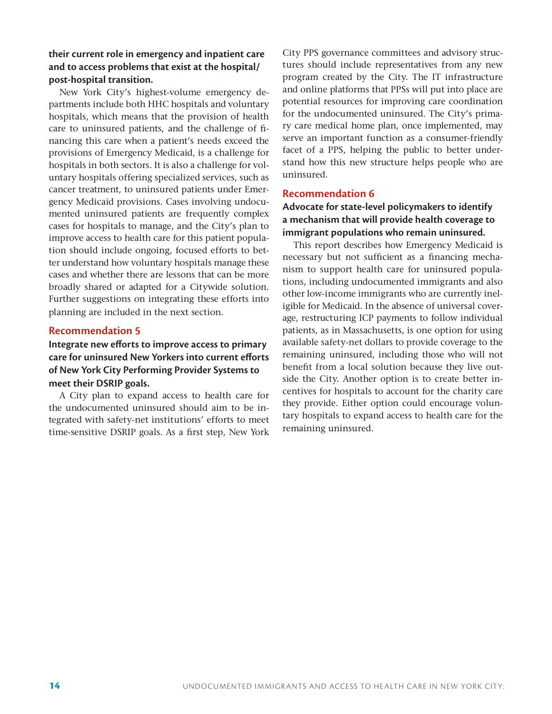# **their current role in emergency and inpatient care and to access problems that exist at the hospital/ post-hospital transition.**

New York City's highest-volume emergency departments include both HHC hospitals and voluntary hospitals, which means that the provision of health care to uninsured patients, and the challenge of financing this care when a patient's needs exceed the provisions of Emergency Medicaid, is a challenge for hospitals in both sectors. It is also a challenge for voluntary hospitals offering specialized services, such as cancer treatment, to uninsured patients under Emergency Medicaid provisions. Cases involving undocumented uninsured patients are frequently complex cases for hospitals to manage, and the City's plan to improve access to health care for this patient population should include ongoing, focused efforts to better understand how voluntary hospitals manage these cases and whether there are lessons that can be more broadly shared or adapted for a Citywide solution. Further suggestions on integrating these efforts into planning are included in the next section.

### **Recommendation 5**

# **Integrate new efforts to improve access to primary care for uninsured New Yorkers into current efforts of New York City Performing Provider Systems to meet their DSRIP goals.**

A City plan to expand access to health care for the undocumented uninsured should aim to be integrated with safety-net institutions' efforts to meet time-sensitive DSRIP goals. As a first step, New York City PPS governance committees and advisory structures should include representatives from any new program created by the City. The IT infrastructure and online platforms that PPSs will put into place are potential resources for improving care coordination for the undocumented uninsured. The City's primary care medical home plan, once implemented, may serve an important function as a consumer-friendly facet of a PPS, helping the public to better understand how this new structure helps people who are uninsured.

### **Recommendation 6**

**Advocate for state-level policymakers to identify a mechanism that will provide health coverage to immigrant populations who remain uninsured.**

This report describes how Emergency Medicaid is necessary but not sufficient as a financing mechanism to support health care for uninsured populations, including undocumented immigrants and also other low-income immigrants who are currently ineligible for Medicaid. In the absence of universal coverage, restructuring ICP payments to follow individual patients, as in Massachusetts, is one option for using available safety-net dollars to provide coverage to the remaining uninsured, including those who will not benefit from a local solution because they live outside the City. Another option is to create better incentives for hospitals to account for the charity care they provide. Either option could encourage voluntary hospitals to expand access to health care for the remaining uninsured.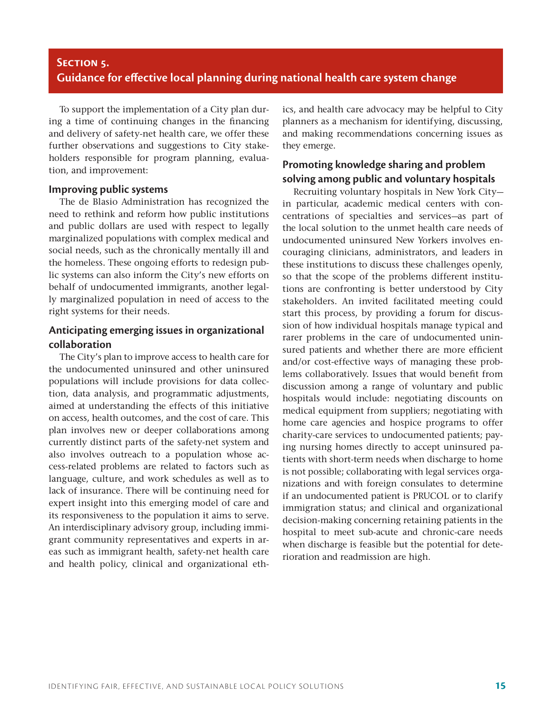# **Section 5. Guidance for effective local planning during national health care system change**

To support the implementation of a City plan during a time of continuing changes in the financing and delivery of safety-net health care, we offer these further observations and suggestions to City stakeholders responsible for program planning, evaluation, and improvement:

#### **Improving public systems**

The de Blasio Administration has recognized the need to rethink and reform how public institutions and public dollars are used with respect to legally marginalized populations with complex medical and social needs, such as the chronically mentally ill and the homeless. These ongoing efforts to redesign public systems can also inform the City's new efforts on behalf of undocumented immigrants, another legally marginalized population in need of access to the right systems for their needs.

# **Anticipating emerging issues in organizational collaboration**

The City's plan to improve access to health care for the undocumented uninsured and other uninsured populations will include provisions for data collection, data analysis, and programmatic adjustments, aimed at understanding the effects of this initiative on access, health outcomes, and the cost of care. This plan involves new or deeper collaborations among currently distinct parts of the safety-net system and also involves outreach to a population whose access-related problems are related to factors such as language, culture, and work schedules as well as to lack of insurance. There will be continuing need for expert insight into this emerging model of care and its responsiveness to the population it aims to serve. An interdisciplinary advisory group, including immigrant community representatives and experts in areas such as immigrant health, safety-net health care and health policy, clinical and organizational ethics, and health care advocacy may be helpful to City planners as a mechanism for identifying, discussing, and making recommendations concerning issues as they emerge.

# **Promoting knowledge sharing and problem solving among public and voluntary hospitals**

Recruiting voluntary hospitals in New York City in particular, academic medical centers with concentrations of specialties and services—as part of the local solution to the unmet health care needs of undocumented uninsured New Yorkers involves encouraging clinicians, administrators, and leaders in these institutions to discuss these challenges openly, so that the scope of the problems different institutions are confronting is better understood by City stakeholders. An invited facilitated meeting could start this process, by providing a forum for discussion of how individual hospitals manage typical and rarer problems in the care of undocumented uninsured patients and whether there are more efficient and/or cost-effective ways of managing these problems collaboratively. Issues that would benefit from discussion among a range of voluntary and public hospitals would include: negotiating discounts on medical equipment from suppliers; negotiating with home care agencies and hospice programs to offer charity-care services to undocumented patients; paying nursing homes directly to accept uninsured patients with short-term needs when discharge to home is not possible; collaborating with legal services organizations and with foreign consulates to determine if an undocumented patient is PRUCOL or to clarify immigration status; and clinical and organizational decision-making concerning retaining patients in the hospital to meet sub-acute and chronic-care needs when discharge is feasible but the potential for deterioration and readmission are high.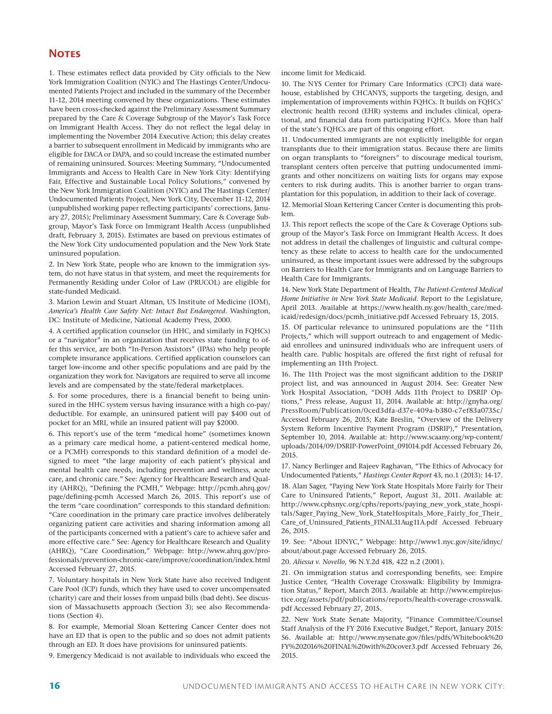#### **NOTES**

1. These estimates reflect data provided by City officials to the New York Immigration Coalition (NYIC) and The Hastings Center/Undocumented Patients Project and included in the summary of the December 11-12, 2014 meeting convened by these organizations. These estimates have been cross-checked against the Preliminary Assessment Summary prepared by the Care & Coverage Subgroup of the Mayor's Task Force on Immigrant Health Access. They do not reflect the legal delay in implementing the November 2014 Executive Action; this delay creates a barrier to subsequent enrollment in Medicaid by immigrants who are eligible for DACA or DAPA, and so could increase the estimated number of remaining uninsured. Sources: Meeting Summary, "Undocumented Immigrants and Access to Health Care in New York City: Identifying Fair, Effective and Sustainable Local Policy Solutions," convened by the New York Immigration Coalition (NYIC) and The Hastings Center/ Undocumented Patients Project, New York City, December 11-12, 2014 (unpublished working paper reflecting participants' corrections, January 27, 2015); Preliminary Assessment Summary, Care & Coverage Subgroup, Mayor's Task Force on Immigrant Health Access (unpublished draft, February 3, 2015). Estimates are based on previous estimates of the New York City undocumented population and the New York State uninsured population.

2. In New York State, people who are known to the immigration system, do not have status in that system, and meet the requirements for Permanently Residing under Color of Law (PRUCOL) are eligible for state-funded Medicaid.

3. Marion Lewin and Stuart Altman, US Institute of Medicine (IOM), *America's Health Care Safety Net: Intact But Endangered*. Washington, DC: Institute of Medicine, National Academy Press, 2000.

4. A certified application counselor (in HHC, and similarly in FQHCs) or a "navigator" in an organization that receives state funding to offer this service, are both "In-Person Assistors" (IPAs) who help people complete insurance applications. Certified application counselors can target low-income and other specific populations and are paid by the organization they work for. Navigators are required to serve all income levels and are compensated by the state/federal marketplaces.

5. For some procedures, there is a financial benefit to being uninsured in the HHC system versus having insurance with a high co-pay/ deductible. For example, an uninsured patient will pay \$400 out of pocket for an MRI, while an insured patient will pay \$2000.

6. This report's use of the term "medical home" (sometimes known as a primary care medical home, a patient-centered medical home, or a PCMH) corresponds to this standard definition of a model designed to meet "the large majority of each patient's physical and mental health care needs, including prevention and wellness, acute care, and chronic care." See: Agency for Healthcare Research and Quality (AHRQ), "Defining the PCMH," Webpage: http://pcmh.ahrq.gov/ page/defining-pcmh Accessed March 26, 2015. This report's use of the term "care coordination" corresponds to this standard definition: "Care coordination in the primary care practice involves deliberately organizing patient care activities and sharing information among all of the participants concerned with a patient's care to achieve safer and more effective care." See: Agency for Healthcare Research and Quality (AHRQ), "Care Coordination," Webpage: http://www.ahrq.gov/professionals/prevention-chronic-care/improve/coordination/index.html Accessed February 27, 2015.

7. Voluntary hospitals in New York State have also received Indigent Care Pool (ICP) funds, which they have used to cover uncompensated (charity) care and their losses from unpaid bills (bad debt). See discussion of Massachusetts approach (Section 3); see also Recommendations (Section 4).

8. For example, Memorial Sloan Kettering Cancer Center does not have an ED that is open to the public and so does not admit patients through an ED. It does have provisions for uninsured patients.

9. Emergency Medicaid is not available to individuals who exceed the

income limit for Medicaid.

10. The NYS Center for Primary Care Informatics (CPCI) data warehouse, established by CHCANYS, supports the targeting, design, and implementation of improvements within FQHCs. It builds on FQHCs' electronic health record (EHR) systems and includes clinical, operational, and financial data from participating FQHCs. More than half of the state's FQHCs are part of this ongoing effort.

11. Undocumented immigrants are not explicitly ineligible for organ transplants due to their immigration status. Because there are limits on organ transplants to "foreigners" to discourage medical tourism, transplant centers often perceive that putting undocumented immigrants and other noncitizens on waiting lists for organs may expose centers to risk during audits. This is another barrier to organ transplantation for this population, in addition to their lack of coverage.

12. Memorial Sloan Kettering Cancer Center is documenting this problem.

13. This report reflects the scope of the Care & Coverage Options subgroup of the Mayor's Task Force on Immigrant Health Access. It does not address in detail the challenges of linguistic and cultural competency as these relate to access to health care for the undocumented uninsured, as these important issues were addressed by the subgroups on Barriers to Health Care for Immigrants and on Language Barriers to Health Care for Immigrants.

14. New York State Department of Health, *The Patient-Centered Medical Home Initiative in New York State Medicaid*. Report to the Legislature, April 2013. Available at https://www.health.ny.gov/health\_care/medicaid/redesign/docs/pcmh\_initiative.pdf Accessed February 15, 2015.

15. Of particular relevance to uninsured populations are the "11th Projects," which will support outreach to and engagement of Medicaid enrollees and uninsured individuals who are infrequent users of health care. Public hospitals are offered the first right of refusal for implementing an 11th Project.

16. The 11th Project was the most significant addition to the DSRIP project list, and was announced in August 2014. See: Greater New York Hospital Association, "DOH Adds 11th Project to DSRIP Options," Press release, August 11, 2014. Available at: http://gnyha.org/ PressRoom/Publication/0ced3dfa-d37e-409a-b380-c7ef83a0735c/ Accessed February 26, 2015; Kate Breslin, "Overview of the Delivery System Reform Incentive Payment Program (DSRIP)," Presentation, September 10, 2014. Available at: http://www.scaany.org/wp-content/ uploads/2014/09/DSRIP-PowerPoint\_091014.pdf Accessed February 26, 2015.

17. Nancy Berlinger and Rajeev Raghavan, "The Ethics of Advocacy for Undocumented Patients," *Hastings Center Report* 43, no.1 (2013): 14-17. 18. Alan Sager, "Paying New York State Hospitals More Fairly for Their Care to Uninsured Patients," Report, August 31, 2011. Available at: http://www.cphsnyc.org/cphs/reports/paying\_new\_york\_state\_hospitals/Sager\_Paying\_New\_York\_StateHospitals\_More\_Fairly\_for\_Their\_ Care\_of\_Uninsured\_Patients\_FINAL31Aug11A.pdf Accessed February 26, 2015.

19. See: "About IDNYC," Webpage: http://www1.nyc.gov/site/idnyc/ about/about.page Accessed February 26, 2015.

20. *Aliessa v. Novello*, 96 N.Y.2d 418, 422 n.2 (2001).

21. On immigration status and corresponding benefits, see: Empire Justice Center, "Health Coverage Crosswalk: Eligibility by Immigration Status," Report, March 2013. Available at: http://www.empirejustice.org/assets/pdf/publications/reports/health-coverage-crosswalk. pdf Accessed February 27, 2015.

22. New York State Senate Majority, "Finance Committee/Counsel Staff Analysis of the FY 2016 Executive Budget," Report, January 2015: 56. Available at: http://www.nysenate.gov/files/pdfs/Whitebook%20 FY%202016%20FINAL%20with%20cover3.pdf Accessed February 26, 2015.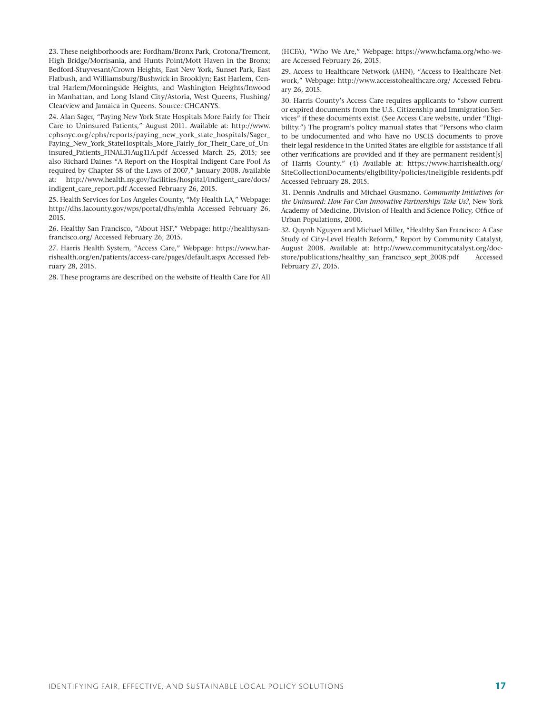23. These neighborhoods are: Fordham/Bronx Park, Crotona/Tremont, High Bridge/Morrisania, and Hunts Point/Mott Haven in the Bronx; Bedford-Stuyvesant/Crown Heights, East New York, Sunset Park, East Flatbush, and Williamsburg/Bushwick in Brooklyn; East Harlem, Central Harlem/Morningside Heights, and Washington Heights/Inwood in Manhattan, and Long Island City/Astoria, West Queens, Flushing/ Clearview and Jamaica in Queens. Source: CHCANYS.

24. Alan Sager, "Paying New York State Hospitals More Fairly for Their Care to Uninsured Patients," August 2011. Available at: http://www. cphsnyc.org/cphs/reports/paying\_new\_york\_state\_hospitals/Sager\_ Paying\_New\_York\_StateHospitals\_More\_Fairly\_for\_Their\_Care\_of\_Uninsured\_Patients\_FINAL31Aug11A.pdf Accessed March 25, 2015; see also Richard Daines "A Report on the Hospital Indigent Care Pool As required by Chapter 58 of the Laws of 2007," January 2008. Available at: http://www.health.ny.gov/facilities/hospital/indigent\_care/docs/ indigent\_care\_report.pdf Accessed February 26, 2015.

25. Health Services for Los Angeles County, "My Health LA," Webpage: http://dhs.lacounty.gov/wps/portal/dhs/mhla Accessed February 26, 2015.

26. Healthy San Francisco, "About HSF," Webpage: http://healthysanfrancisco.org/ Accessed February 26, 2015.

27. Harris Health System, "Access Care," Webpage: https://www.harrishealth.org/en/patients/access-care/pages/default.aspx Accessed February 28, 2015.

28. These programs are described on the website of Health Care For All

(HCFA), "Who We Are," Webpage: https://www.hcfama.org/who-weare Accessed February 26, 2015.

29. Access to Healthcare Network (AHN), "Access to Healthcare Network," Webpage: http://www.accesstohealthcare.org/ Accessed February 26, 2015.

30. Harris County's Access Care requires applicants to "show current or expired documents from the U.S. Citizenship and Immigration Services" if these documents exist. (See Access Care website, under "Eligibility.") The program's policy manual states that "Persons who claim to be undocumented and who have no USCIS documents to prove their legal residence in the United States are eligible for assistance if all other verifications are provided and if they are permanent resident[s] of Harris County." (4) Available at: https://www.harrishealth.org/ SiteCollectionDocuments/eligibility/policies/ineligible-residents.pdf Accessed February 28, 2015.

31. Dennis Andrulis and Michael Gusmano. *Community Initiatives for the Uninsured: How Far Can Innovative Partnerships Take Us?*, New York Academy of Medicine, Division of Health and Science Policy, Office of Urban Populations, 2000.

32. Quynh Nguyen and Michael Miller, "Healthy San Francisco: A Case Study of City-Level Health Reform," Report by Community Catalyst, August 2008. Available at: http://www.communitycatalyst.org/docstore/publications/healthy\_san\_francisco\_sept\_2008.pdf Accessed February 27, 2015.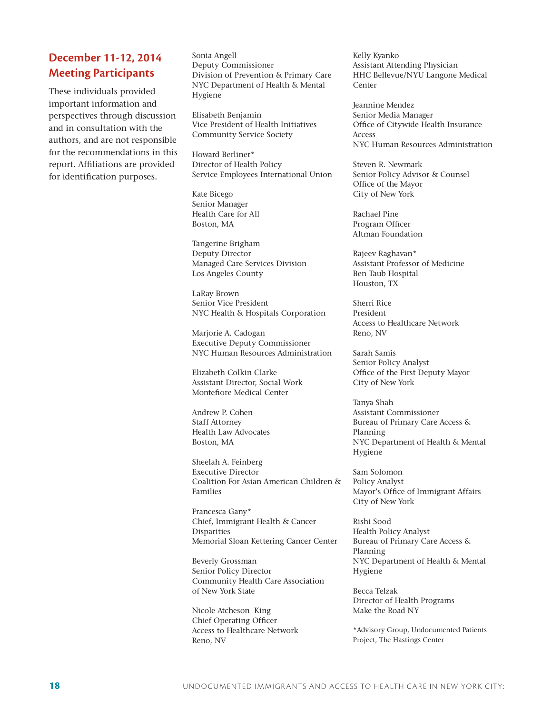# **December 11-12, 2014 Meeting Participants**

These individuals provided important information and perspectives through discussion and in consultation with the authors, and are not responsible for the recommendations in this report. Affiliations are provided for identification purposes.

Sonia Angell Deputy Commissioner Division of Prevention & Primary Care NYC Department of Health & Mental Hygiene

Elisabeth Benjamin Vice President of Health Initiatives Community Service Society

Howard Berliner\* Director of Health Policy Service Employees International Union

Kate Bicego Senior Manager Health Care for All Boston, MA

Tangerine Brigham Deputy Director Managed Care Services Division Los Angeles County

LaRay Brown Senior Vice President NYC Health & Hospitals Corporation

Marjorie A. Cadogan Executive Deputy Commissioner NYC Human Resources Administration

Elizabeth Colkin Clarke Assistant Director, Social Work Montefiore Medical Center

Andrew P. Cohen Staff Attorney Health Law Advocates Boston, MA

Sheelah A. Feinberg Executive Director Coalition For Asian American Children & Families

Francesca Gany\* Chief, Immigrant Health & Cancer Disparities Memorial Sloan Kettering Cancer Center

Beverly Grossman Senior Policy Director Community Health Care Association of New York State

Nicole Atcheson King Chief Operating Officer Access to Healthcare Network Reno, NV

Kelly Kyanko Assistant Attending Physician HHC Bellevue/NYU Langone Medical Center

Jeannine Mendez Senior Media Manager Office of Citywide Health Insurance Access NYC Human Resources Administration

Steven R. Newmark Senior Policy Advisor & Counsel Office of the Mayor City of New York

Rachael Pine Program Officer Altman Foundation

Rajeev Raghavan\* Assistant Professor of Medicine Ben Taub Hospital Houston, TX

Sherri Rice President Access to Healthcare Network Reno, NV

Sarah Samis Senior Policy Analyst Office of the First Deputy Mayor City of New York

Tanya Shah Assistant Commissioner Bureau of Primary Care Access & Planning NYC Department of Health & Mental Hygiene

Sam Solomon Policy Analyst Mayor's Office of Immigrant Affairs City of New York

Rishi Sood Health Policy Analyst Bureau of Primary Care Access & Planning NYC Department of Health & Mental Hygiene

Becca Telzak Director of Health Programs Make the Road NY

\*Advisory Group, Undocumented Patients Project, The Hastings Center